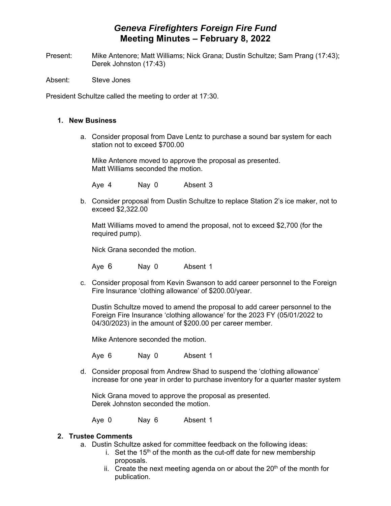## *Geneva Firefighters Foreign Fire Fund* **Meeting Minutes – February 8, 2022**

Present: Mike Antenore; Matt Williams; Nick Grana; Dustin Schultze; Sam Prang (17:43); Derek Johnston (17:43)

Absent: Steve Jones

President Schultze called the meeting to order at 17:30.

## **1. New Business**

a. Consider proposal from Dave Lentz to purchase a sound bar system for each station not to exceed \$700.00

Mike Antenore moved to approve the proposal as presented. Matt Williams seconded the motion.

Aye 4 Nay 0 Absent 3

b. Consider proposal from Dustin Schultze to replace Station 2's ice maker, not to exceed \$2,322.00

Matt Williams moved to amend the proposal, not to exceed \$2,700 (for the required pump).

Nick Grana seconded the motion.

Aye 6 Nay 0 Absent 1

c. Consider proposal from Kevin Swanson to add career personnel to the Foreign Fire Insurance 'clothing allowance' of \$200.00/year.

Dustin Schultze moved to amend the proposal to add career personnel to the Foreign Fire Insurance 'clothing allowance' for the 2023 FY (05/01/2022 to 04/30/2023) in the amount of \$200.00 per career member.

Mike Antenore seconded the motion.

Aye 6 Nay 0 Absent 1

d. Consider proposal from Andrew Shad to suspend the 'clothing allowance' increase for one year in order to purchase inventory for a quarter master system

Nick Grana moved to approve the proposal as presented. Derek Johnston seconded the motion.

Aye 0 Nay 6 Absent 1

## **2. Trustee Comments**

- a. Dustin Schultze asked for committee feedback on the following ideas:
	- i. Set the  $15<sup>th</sup>$  of the month as the cut-off date for new membership proposals.
	- ii. Create the next meeting agenda on or about the  $20<sup>th</sup>$  of the month for publication.